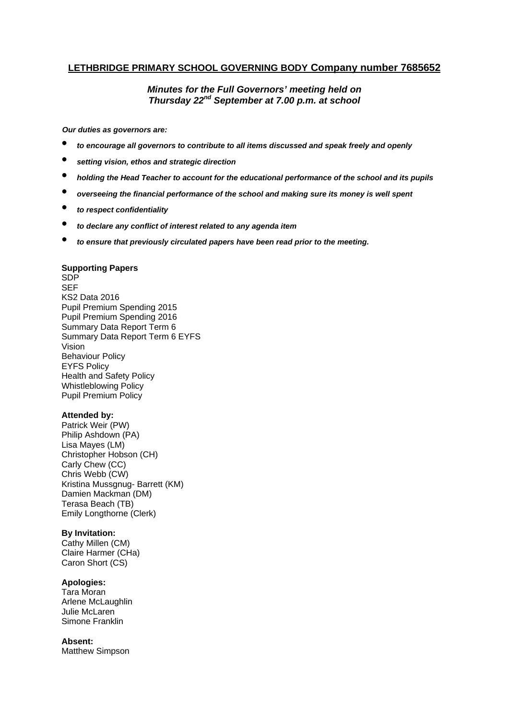# **LETHBRIDGE PRIMARY SCHOOL GOVERNING BODY Company number 7685652**

# *Minutes for the Full Governors' meeting held on Thursday 22nd September at 7.00 p.m. at school*

*Our duties as governors are:* 

- *to encourage all governors to contribute to all items discussed and speak freely and openly*
- *setting vision, ethos and strategic direction*
- *holding the Head Teacher to account for the educational performance of the school and its pupils*
- *overseeing the financial performance of the school and making sure its money is well spent*
- *to respect confidentiality*
- *to declare any conflict of interest related to any agenda item*
- *to ensure that previously circulated papers have been read prior to the meeting.*

### **Supporting Papers**

SDP SEF KS2 Data 2016 Pupil Premium Spending 2015 Pupil Premium Spending 2016 Summary Data Report Term 6 Summary Data Report Term 6 EYFS Vision Behaviour Policy EYFS Policy Health and Safety Policy Whistleblowing Policy Pupil Premium Policy

## **Attended by:**

Patrick Weir (PW) Philip Ashdown (PA) Lisa Mayes (LM) Christopher Hobson (CH) Carly Chew (CC) Chris Webb (CW) Kristina Mussgnug- Barrett (KM) Damien Mackman (DM) Terasa Beach (TB) Emily Longthorne (Clerk)

## **By Invitation:**

Cathy Millen (CM) Claire Harmer (CHa) Caron Short (CS)

## **Apologies:**

Tara Moran Arlene McLaughlin Julie McLaren Simone Franklin

## **Absent:**

Matthew Simpson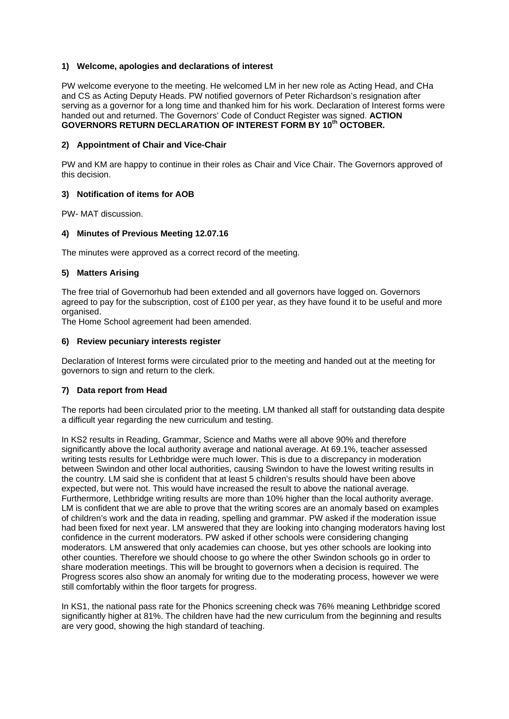### **1) Welcome, apologies and declarations of interest**

PW welcome everyone to the meeting. He welcomed LM in her new role as Acting Head, and CHa and CS as Acting Deputy Heads. PW notified governors of Peter Richardson's resignation after serving as a governor for a long time and thanked him for his work. Declaration of Interest forms were handed out and returned. The Governors' Code of Conduct Register was signed. **ACTION GOVERNORS RETURN DECLARATION OF INTEREST FORM BY 10th OCTOBER.** 

#### **2) Appointment of Chair and Vice-Chair**

PW and KM are happy to continue in their roles as Chair and Vice Chair. The Governors approved of this decision.

### **3) Notification of items for AOB**

PW- MAT discussion.

#### **4) Minutes of Previous Meeting 12.07.16**

The minutes were approved as a correct record of the meeting.

### **5) Matters Arising**

The free trial of Governorhub had been extended and all governors have logged on. Governors agreed to pay for the subscription, cost of £100 per year, as they have found it to be useful and more organised.

The Home School agreement had been amended.

#### **6) Review pecuniary interests register**

Declaration of Interest forms were circulated prior to the meeting and handed out at the meeting for governors to sign and return to the clerk.

#### **7) Data report from Head**

The reports had been circulated prior to the meeting. LM thanked all staff for outstanding data despite a difficult year regarding the new curriculum and testing.

In KS2 results in Reading, Grammar, Science and Maths were all above 90% and therefore significantly above the local authority average and national average. At 69.1%, teacher assessed writing tests results for Lethbridge were much lower. This is due to a discrepancy in moderation between Swindon and other local authorities, causing Swindon to have the lowest writing results in the country. LM said she is confident that at least 5 children's results should have been above expected, but were not. This would have increased the result to above the national average. Furthermore, Lethbridge writing results are more than 10% higher than the local authority average. LM is confident that we are able to prove that the writing scores are an anomaly based on examples of children's work and the data in reading, spelling and grammar. PW asked if the moderation issue had been fixed for next year. LM answered that they are looking into changing moderators having lost confidence in the current moderators. PW asked if other schools were considering changing moderators. LM answered that only academies can choose, but yes other schools are looking into other counties. Therefore we should choose to go where the other Swindon schools go in order to share moderation meetings. This will be brought to governors when a decision is required. The Progress scores also show an anomaly for writing due to the moderating process, however we were still comfortably within the floor targets for progress.

In KS1, the national pass rate for the Phonics screening check was 76% meaning Lethbridge scored significantly higher at 81%. The children have had the new curriculum from the beginning and results are very good, showing the high standard of teaching.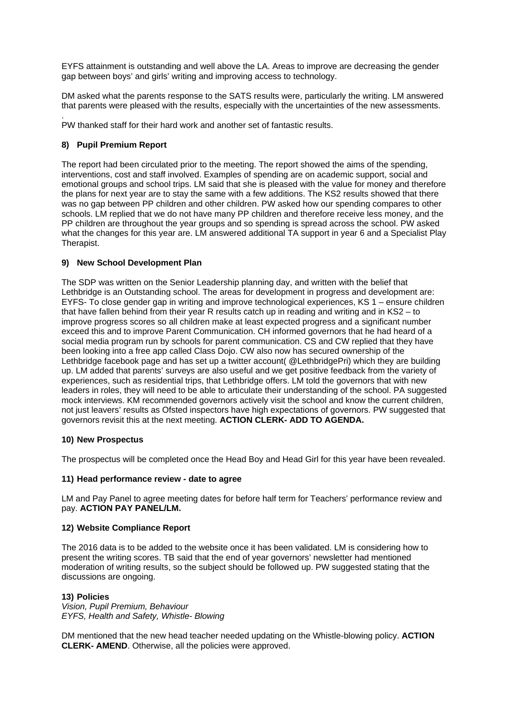EYFS attainment is outstanding and well above the LA. Areas to improve are decreasing the gender gap between boys' and girls' writing and improving access to technology.

DM asked what the parents response to the SATS results were, particularly the writing. LM answered that parents were pleased with the results, especially with the uncertainties of the new assessments.

. PW thanked staff for their hard work and another set of fantastic results.

## **8) Pupil Premium Report**

The report had been circulated prior to the meeting. The report showed the aims of the spending, interventions, cost and staff involved. Examples of spending are on academic support, social and emotional groups and school trips. LM said that she is pleased with the value for money and therefore the plans for next year are to stay the same with a few additions. The KS2 results showed that there was no gap between PP children and other children. PW asked how our spending compares to other schools. LM replied that we do not have many PP children and therefore receive less money, and the PP children are throughout the year groups and so spending is spread across the school. PW asked what the changes for this year are. LM answered additional TA support in year 6 and a Specialist Play Therapist.

## **9) New School Development Plan**

The SDP was written on the Senior Leadership planning day, and written with the belief that Lethbridge is an Outstanding school. The areas for development in progress and development are: EYFS- To close gender gap in writing and improve technological experiences, KS 1 – ensure children that have fallen behind from their year R results catch up in reading and writing and in KS2 – to improve progress scores so all children make at least expected progress and a significant number exceed this and to improve Parent Communication. CH informed governors that he had heard of a social media program run by schools for parent communication. CS and CW replied that they have been looking into a free app called Class Dojo. CW also now has secured ownership of the Lethbridge facebook page and has set up a twitter account( @LethbridgePri) which they are building up. LM added that parents' surveys are also useful and we get positive feedback from the variety of experiences, such as residential trips, that Lethbridge offers. LM told the governors that with new leaders in roles, they will need to be able to articulate their understanding of the school. PA suggested mock interviews. KM recommended governors actively visit the school and know the current children, not just leavers' results as Ofsted inspectors have high expectations of governors. PW suggested that governors revisit this at the next meeting. **ACTION CLERK- ADD TO AGENDA.**

## **10) New Prospectus**

The prospectus will be completed once the Head Boy and Head Girl for this year have been revealed.

## **11) Head performance review - date to agree**

LM and Pay Panel to agree meeting dates for before half term for Teachers' performance review and pay. **ACTION PAY PANEL/LM.** 

## **12) Website Compliance Report**

The 2016 data is to be added to the website once it has been validated. LM is considering how to present the writing scores. TB said that the end of year governors' newsletter had mentioned moderation of writing results, so the subject should be followed up. PW suggested stating that the discussions are ongoing.

#### **13) Policies**

*Vision, Pupil Premium, Behaviour EYFS, Health and Safety, Whistle- Blowing* 

DM mentioned that the new head teacher needed updating on the Whistle-blowing policy. **ACTION CLERK- AMEND**. Otherwise, all the policies were approved.